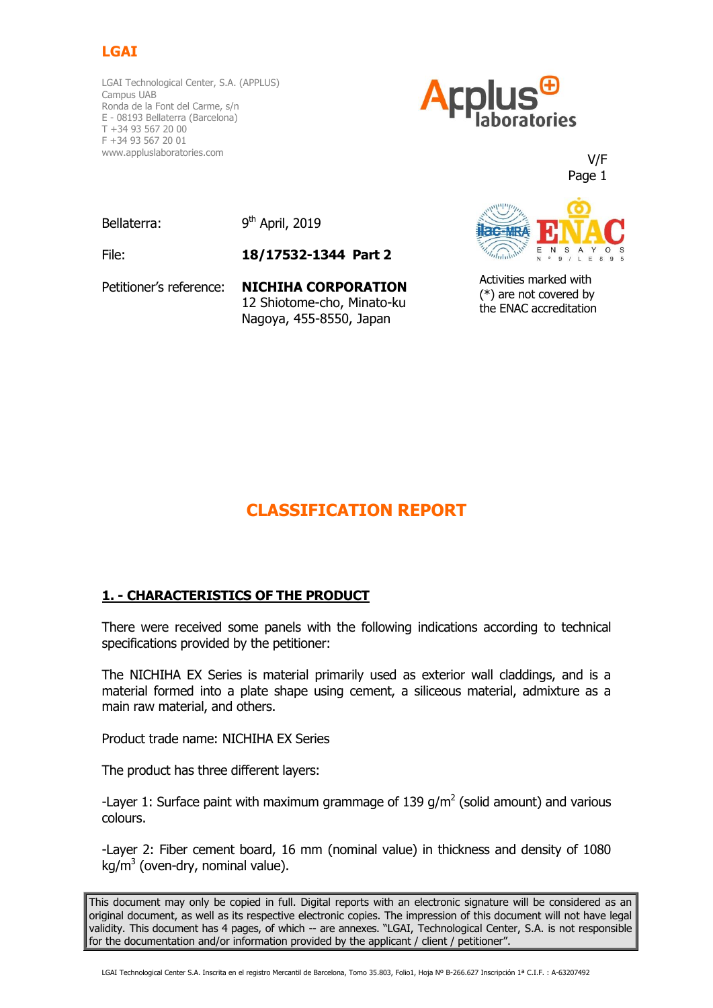

LGAI Technological Center, S.A. (APPLUS) Campus UAB Ronda de la Font del Carme, s/n E - 08193 Bellaterra (Barcelona) T +34 93 567 20 00 F +34 93 567 20 01 www.appluslaboratories.com



V/F Page 1

Bellaterra:

9<sup>th</sup> April, 2019

File: **18/17532-1344 Part 2**

Petitioner's reference: **NICHIHA CORPORATION** 12 Shiotome-cho, Minato-ku Nagoya, 455-8550, Japan



Activities marked with (\*) are not covered by the ENAC accreditation

# **CLASSIFICATION REPORT**

# **1. - CHARACTERISTICS OF THE PRODUCT**

There were received some panels with the following indications according to technical specifications provided by the petitioner:

The NICHIHA EX Series is material primarily used as exterior wall claddings, and is a material formed into a plate shape using cement, a siliceous material, admixture as a main raw material, and others.

Product trade name: NICHIHA EX Series

The product has three different layers:

-Layer 1: Surface paint with maximum grammage of 139  $g/m^2$  (solid amount) and various colours.

-Layer 2: Fiber cement board, 16 mm (nominal value) in thickness and density of 1080 kg/m<sup>3</sup> (oven-dry, nominal value).

This document may only be copied in full. Digital reports with an electronic signature will be considered as an original document, as well as its respective electronic copies. The impression of this document will not have legal validity. This document has 4 pages, of which -- are annexes. "LGAI, Technological Center, S.A. is not responsible for the documentation and/or information provided by the applicant / client / petitioner".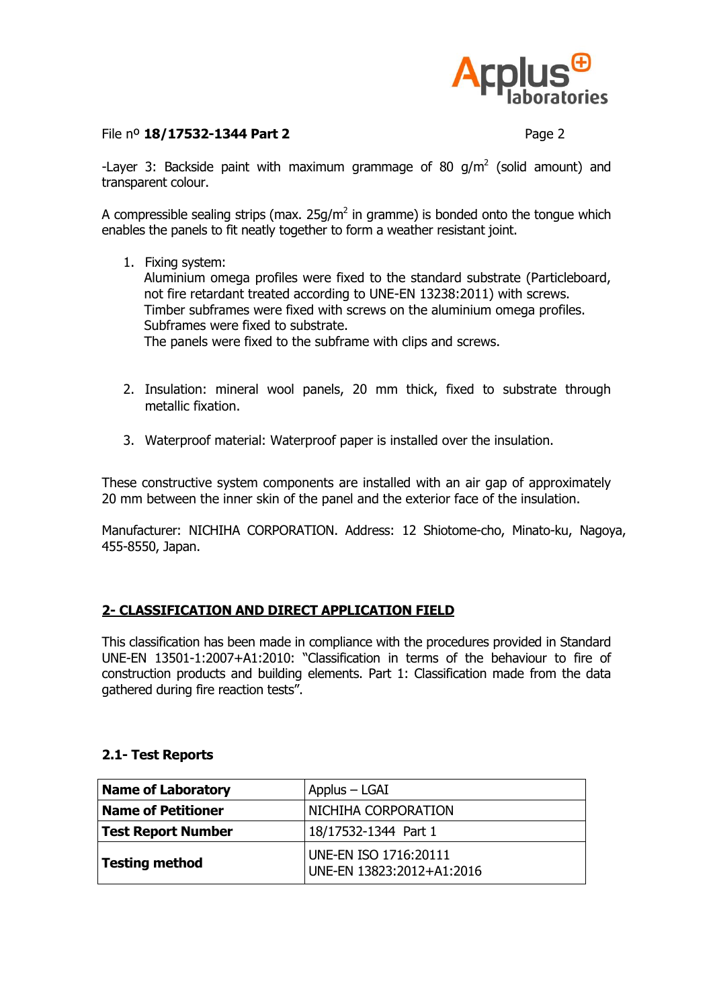

## File nº **18/17532-1344 Part 2** Page 2

-Layer 3: Backside paint with maximum grammage of 80  $g/m^2$  (solid amount) and transparent colour.

A compressible sealing strips (max.  $25g/m^2$  in gramme) is bonded onto the tongue which enables the panels to fit neatly together to form a weather resistant joint.

1. Fixing system:

Aluminium omega profiles were fixed to the standard substrate (Particleboard, not fire retardant treated according to UNE-EN 13238:2011) with screws. Timber subframes were fixed with screws on the aluminium omega profiles. Subframes were fixed to substrate.

The panels were fixed to the subframe with clips and screws.

- 2. Insulation: mineral wool panels, 20 mm thick, fixed to substrate through metallic fixation.
- 3. Waterproof material: Waterproof paper is installed over the insulation.

These constructive system components are installed with an air gap of approximately 20 mm between the inner skin of the panel and the exterior face of the insulation.

Manufacturer: NICHIHA CORPORATION. Address: 12 Shiotome-cho, Minato-ku, Nagoya, 455-8550, Japan.

# **2- CLASSIFICATION AND DIRECT APPLICATION FIELD**

This classification has been made in compliance with the procedures provided in Standard UNE-EN 13501-1:2007+A1:2010: "Classification in terms of the behaviour to fire of construction products and building elements. Part 1: Classification made from the data gathered during fire reaction tests".

## **2.1- Test Reports**

| Name of Laboratory        | Applus – LGAI                                      |
|---------------------------|----------------------------------------------------|
| <b>Name of Petitioner</b> | NICHIHA CORPORATION                                |
| Test Report Number        | 18/17532-1344 Part 1                               |
| Testing method            | UNE-EN ISO 1716:20111<br>UNE-EN 13823:2012+A1:2016 |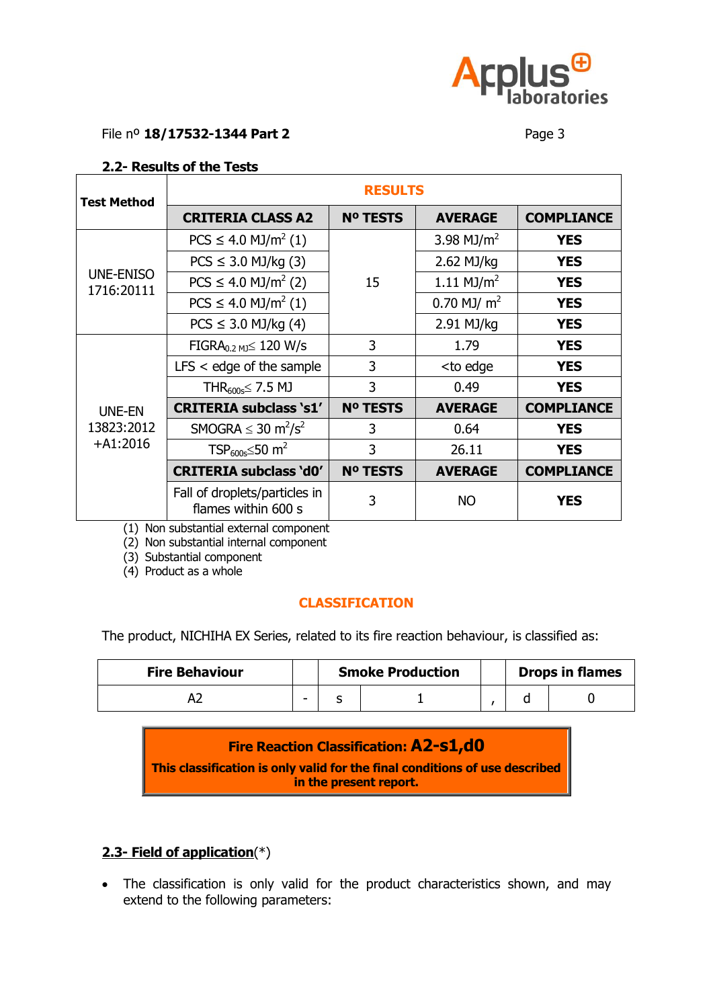

### File nº **18/17532-1344 Part 2** Page 3

## **2.2- Results of the Tests**

| <b>Test Method</b>                        | <b>RESULTS</b>                                       |                 |                                             |                   |  |  |  |
|-------------------------------------------|------------------------------------------------------|-----------------|---------------------------------------------|-------------------|--|--|--|
|                                           | <b>CRITERIA CLASS A2</b>                             | <b>Nº TESTS</b> | <b>AVERAGE</b>                              | <b>COMPLIANCE</b> |  |  |  |
| <b>UNE-ENISO</b><br>1716:20111            | $PCS \leq 4.0$ MJ/m <sup>2</sup> (1)                 |                 | 3.98 MJ/ $m^2$                              | <b>YES</b>        |  |  |  |
|                                           | $PCS \leq 3.0$ MJ/kg (3)                             |                 | 2.62 MJ/kg                                  | <b>YES</b>        |  |  |  |
|                                           | $PCS \leq 4.0$ MJ/m <sup>2</sup> (2)                 | 15              | 1.11 $MJ/m2$                                | <b>YES</b>        |  |  |  |
|                                           | $PCS \leq 4.0$ MJ/m <sup>2</sup> (1)                 |                 | 0.70 MJ/ $m2$                               | <b>YES</b>        |  |  |  |
|                                           | $PCS \le 3.0$ MJ/kg (4)                              |                 | 2.91 MJ/kg                                  | <b>YES</b>        |  |  |  |
| <b>UNE-EN</b><br>13823:2012<br>$+A1:2016$ | $FIGRA_{0.2 MJ} \leq 120 W/s$                        | 3               | 1.79                                        | <b>YES</b>        |  |  |  |
|                                           | $LFS <$ edge of the sample                           | 3               | <to edge<="" td=""><td><b>YES</b></td></to> | <b>YES</b>        |  |  |  |
|                                           | THR <sub>600s</sub> $\leq$ 7.5 MJ                    | 3               | 0.49                                        | <b>YES</b>        |  |  |  |
|                                           | <b>CRITERIA subclass 's1'</b>                        | <b>Nº TESTS</b> | <b>AVERAGE</b>                              | <b>COMPLIANCE</b> |  |  |  |
|                                           | SMOGRA $\leq$ 30 m <sup>2</sup> /s <sup>2</sup>      | 3               | 0.64                                        | <b>YES</b>        |  |  |  |
|                                           | TSP <sub>600s</sub> $\leq$ 50 m <sup>2</sup>         | $\overline{3}$  | 26.11                                       | <b>YES</b>        |  |  |  |
|                                           | <b>CRITERIA subclass 'd0'</b>                        | <b>Nº TESTS</b> | <b>AVERAGE</b>                              | <b>COMPLIANCE</b> |  |  |  |
|                                           | Fall of droplets/particles in<br>flames within 600 s | 3               | <b>NO</b>                                   | <b>YES</b>        |  |  |  |

(1) Non substantial external component

(2) Non substantial internal component

(3) Substantial component

(4) Product as a whole

# **CLASSIFICATION**

The product, NICHIHA EX Series, related to its fire reaction behaviour, is classified as:

| <b>Fire Behaviour</b> |   | <b>Smoke Production</b> |  |  | <b>Drops in flames</b> |
|-----------------------|---|-------------------------|--|--|------------------------|
|                       | - |                         |  |  |                        |

**Fire Reaction Classification: A2-s1,d0 This classification is only valid for the final conditions of use described** 

**in the present report.**

# **2.3- Field of application**(\*)

• The classification is only valid for the product characteristics shown, and may extend to the following parameters: